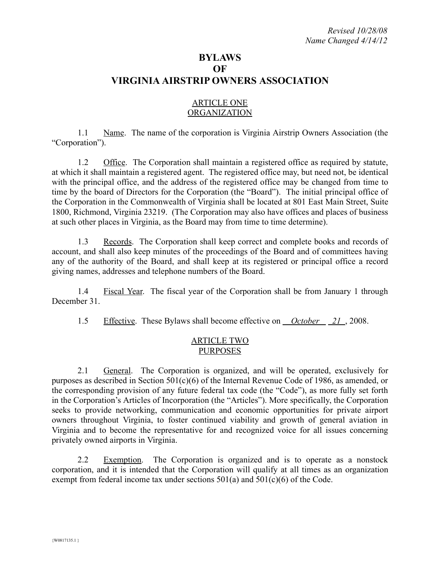# **BYLAWS OF VIRGINIA AIRSTRIP OWNERS ASSOCIATION**

## ARTICLE ONE **ORGANIZATION**

1.1 Name. The name of the corporation is Virginia Airstrip Owners Association (the "Corporation").

1.2 Office. The Corporation shall maintain a registered office as required by statute, at which it shall maintain a registered agent. The registered office may, but need not, be identical with the principal office, and the address of the registered office may be changed from time to time by the board of Directors for the Corporation (the "Board"). The initial principal office of the Corporation in the Commonwealth of Virginia shall be located at 801 East Main Street, Suite 1800, Richmond, Virginia 23219. (The Corporation may also have offices and places of business at such other places in Virginia, as the Board may from time to time determine).

1.3 Records. The Corporation shall keep correct and complete books and records of account, and shall also keep minutes of the proceedings of the Board and of committees having any of the authority of the Board, and shall keep at its registered or principal office a record giving names, addresses and telephone numbers of the Board.

1.4 Fiscal Year. The fiscal year of the Corporation shall be from January 1 through December 31.

1.5 Effective. These Bylaws shall become effective on *October 21* , 2008.

## ARTICLE TWO PURPOSES

2.1 General. The Corporation is organized, and will be operated, exclusively for purposes as described in Section 501(c)(6) of the Internal Revenue Code of 1986, as amended, or the corresponding provision of any future federal tax code (the "Code"), as more fully set forth in the Corporation's Articles of Incorporation (the "Articles"). More specifically, the Corporation seeks to provide networking, communication and economic opportunities for private airport owners throughout Virginia, to foster continued viability and growth of general aviation in Virginia and to become the representative for and recognized voice for all issues concerning privately owned airports in Virginia.

2.2 Exemption. The Corporation is organized and is to operate as a nonstock corporation, and it is intended that the Corporation will qualify at all times as an organization exempt from federal income tax under sections 501(a) and 501(c)(6) of the Code.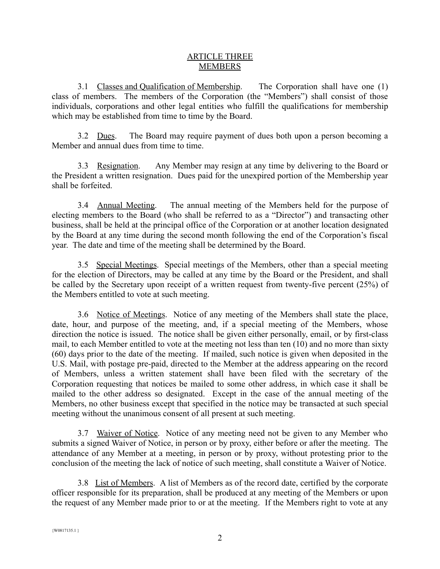## ARTICLE THREE **MEMBERS**

3.1 Classes and Qualification of Membership. The Corporation shall have one (1) class of members. The members of the Corporation (the "Members") shall consist of those individuals, corporations and other legal entities who fulfill the qualifications for membership which may be established from time to time by the Board.

3.2 Dues. The Board may require payment of dues both upon a person becoming a Member and annual dues from time to time.

3.3 Resignation. Any Member may resign at any time by delivering to the Board or the President a written resignation. Dues paid for the unexpired portion of the Membership year shall be forfeited.

3.4 Annual Meeting. The annual meeting of the Members held for the purpose of electing members to the Board (who shall be referred to as a "Director") and transacting other business, shall be held at the principal office of the Corporation or at another location designated by the Board at any time during the second month following the end of the Corporation's fiscal year. The date and time of the meeting shall be determined by the Board.

3.5 Special Meetings. Special meetings of the Members, other than a special meeting for the election of Directors, may be called at any time by the Board or the President, and shall be called by the Secretary upon receipt of a written request from twenty-five percent (25%) of the Members entitled to vote at such meeting.

3.6 Notice of Meetings. Notice of any meeting of the Members shall state the place, date, hour, and purpose of the meeting, and, if a special meeting of the Members, whose direction the notice is issued. The notice shall be given either personally, email, or by first-class mail, to each Member entitled to vote at the meeting not less than ten (10) and no more than sixty (60) days prior to the date of the meeting. If mailed, such notice is given when deposited in the U.S. Mail, with postage pre-paid, directed to the Member at the address appearing on the record of Members, unless a written statement shall have been filed with the secretary of the Corporation requesting that notices be mailed to some other address, in which case it shall be mailed to the other address so designated. Except in the case of the annual meeting of the Members, no other business except that specified in the notice may be transacted at such special meeting without the unanimous consent of all present at such meeting.

3.7 Waiver of Notice. Notice of any meeting need not be given to any Member who submits a signed Waiver of Notice, in person or by proxy, either before or after the meeting. The attendance of any Member at a meeting, in person or by proxy, without protesting prior to the conclusion of the meeting the lack of notice of such meeting, shall constitute a Waiver of Notice.

3.8 List of Members. A list of Members as of the record date, certified by the corporate officer responsible for its preparation, shall be produced at any meeting of the Members or upon the request of any Member made prior to or at the meeting. If the Members right to vote at any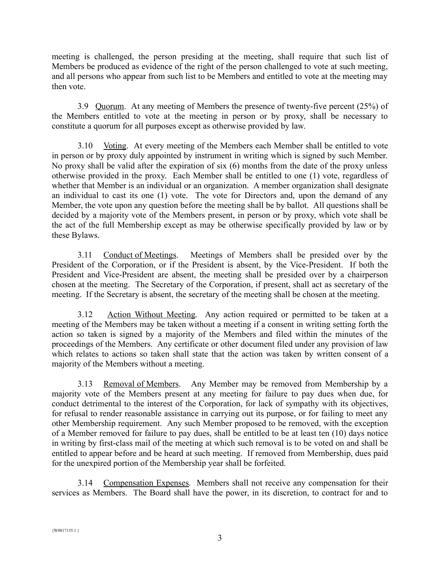meeting is challenged, the person presiding at the meeting, shall require that such list of Members be produced as evidence of the right of the person challenged to vote at such meeting, and all persons who appear from such list to be Members and entitled to vote at the meeting may then vote.

3.9 Quorum. At any meeting of Members the presence of twenty-five percent (25%) of the Members entitled to vote at the meeting in person or by proxy, shall be necessary to constitute a quorum for all purposes except as otherwise provided by law.

3.10 Voting. At every meeting of the Members each Member shall be entitled to vote in person or by proxy duly appointed by instrument in writing which is signed by such Member. No proxy shall be valid after the expiration of six (6) months from the date of the proxy unless otherwise provided in the proxy. Each Member shall be entitled to one (1) vote, regardless of whether that Member is an individual or an organization. A member organization shall designate an individual to cast its one (1) vote. The vote for Directors and, upon the demand of any Member, the vote upon any question before the meeting shall be by ballot. All questions shall be decided by a majority vote of the Members present, in person or by proxy, which vote shall be the act of the full Membership except as may be otherwise specifically provided by law or by these Bylaws.

3.11 Conduct of Meetings. Meetings of Members shall be presided over by the President of the Corporation, or if the President is absent, by the Vice-President. If both the President and Vice-President are absent, the meeting shall be presided over by a chairperson chosen at the meeting. The Secretary of the Corporation, if present, shall act as secretary of the meeting. If the Secretary is absent, the secretary of the meeting shall be chosen at the meeting.

3.12 Action Without Meeting. Any action required or permitted to be taken at a meeting of the Members may be taken without a meeting if a consent in writing setting forth the action so taken is signed by a majority of the Members and filed within the minutes of the proceedings of the Members. Any certificate or other document filed under any provision of law which relates to actions so taken shall state that the action was taken by written consent of a majority of the Members without a meeting.

3.13 Removal of Members. Any Member may be removed from Membership by a majority vote of the Members present at any meeting for failure to pay dues when due, for conduct detrimental to the interest of the Corporation, for lack of sympathy with its objectives, for refusal to render reasonable assistance in carrying out its purpose, or for failing to meet any other Membership requirement. Any such Member proposed to be removed, with the exception of a Member removed for failure to pay dues, shall be entitled to be at least ten (10) days notice in writing by first-class mail of the meeting at which such removal is to be voted on and shall be entitled to appear before and be heard at such meeting. If removed from Membership, dues paid for the unexpired portion of the Membership year shall be forfeited.

3.14 Compensation Expenses. Members shall not receive any compensation for their services as Members. The Board shall have the power, in its discretion, to contract for and to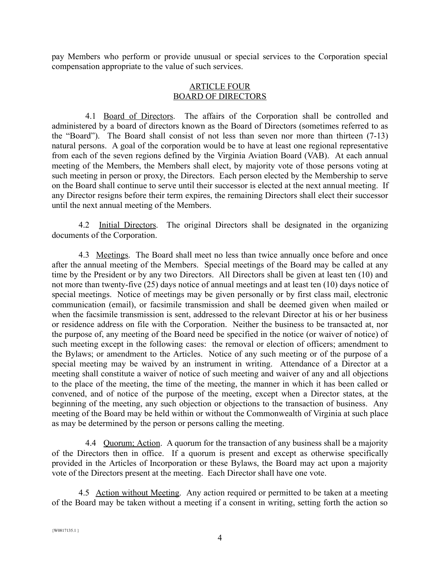pay Members who perform or provide unusual or special services to the Corporation special compensation appropriate to the value of such services.

## ARTICLE FOUR BOARD OF DIRECTORS

4.1 Board of Directors. The affairs of the Corporation shall be controlled and administered by a board of directors known as the Board of Directors (sometimes referred to as the "Board"). The Board shall consist of not less than seven nor more than thirteen (7-13) natural persons. A goal of the corporation would be to have at least one regional representative from each of the seven regions defined by the Virginia Aviation Board (VAB). At each annual meeting of the Members, the Members shall elect, by majority vote of those persons voting at such meeting in person or proxy, the Directors. Each person elected by the Membership to serve on the Board shall continue to serve until their successor is elected at the next annual meeting. If any Director resigns before their term expires, the remaining Directors shall elect their successor until the next annual meeting of the Members.

4.2 Initial Directors. The original Directors shall be designated in the organizing documents of the Corporation.

4.3 Meetings. The Board shall meet no less than twice annually once before and once after the annual meeting of the Members. Special meetings of the Board may be called at any time by the President or by any two Directors. All Directors shall be given at least ten (10) and not more than twenty-five (25) days notice of annual meetings and at least ten (10) days notice of special meetings. Notice of meetings may be given personally or by first class mail, electronic communication (email), or facsimile transmission and shall be deemed given when mailed or when the facsimile transmission is sent, addressed to the relevant Director at his or her business or residence address on file with the Corporation. Neither the business to be transacted at, nor the purpose of, any meeting of the Board need be specified in the notice (or waiver of notice) of such meeting except in the following cases: the removal or election of officers; amendment to the Bylaws; or amendment to the Articles. Notice of any such meeting or of the purpose of a special meeting may be waived by an instrument in writing. Attendance of a Director at a meeting shall constitute a waiver of notice of such meeting and waiver of any and all objections to the place of the meeting, the time of the meeting, the manner in which it has been called or convened, and of notice of the purpose of the meeting, except when a Director states, at the beginning of the meeting, any such objection or objections to the transaction of business. Any meeting of the Board may be held within or without the Commonwealth of Virginia at such place as may be determined by the person or persons calling the meeting.

4.4 Quorum; Action. A quorum for the transaction of any business shall be a majority of the Directors then in office. If a quorum is present and except as otherwise specifically provided in the Articles of Incorporation or these Bylaws, the Board may act upon a majority vote of the Directors present at the meeting. Each Director shall have one vote.

4.5 Action without Meeting. Any action required or permitted to be taken at a meeting of the Board may be taken without a meeting if a consent in writing, setting forth the action so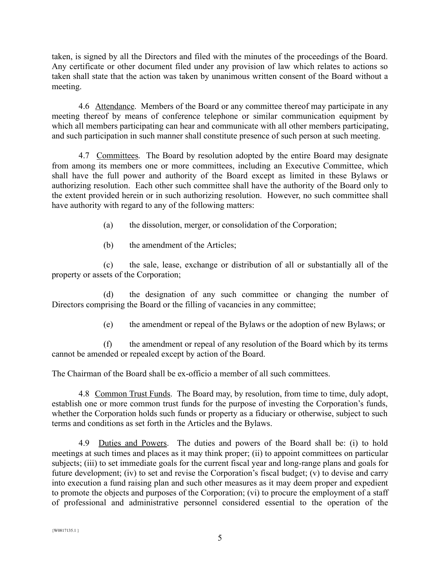taken, is signed by all the Directors and filed with the minutes of the proceedings of the Board. Any certificate or other document filed under any provision of law which relates to actions so taken shall state that the action was taken by unanimous written consent of the Board without a meeting.

4.6 Attendance. Members of the Board or any committee thereof may participate in any meeting thereof by means of conference telephone or similar communication equipment by which all members participating can hear and communicate with all other members participating, and such participation in such manner shall constitute presence of such person at such meeting.

4.7 Committees. The Board by resolution adopted by the entire Board may designate from among its members one or more committees, including an Executive Committee, which shall have the full power and authority of the Board except as limited in these Bylaws or authorizing resolution. Each other such committee shall have the authority of the Board only to the extent provided herein or in such authorizing resolution. However, no such committee shall have authority with regard to any of the following matters:

- (a) the dissolution, merger, or consolidation of the Corporation;
- (b) the amendment of the Articles;

(c) the sale, lease, exchange or distribution of all or substantially all of the property or assets of the Corporation;

(d) the designation of any such committee or changing the number of Directors comprising the Board or the filling of vacancies in any committee;

(e) the amendment or repeal of the Bylaws or the adoption of new Bylaws; or

(f) the amendment or repeal of any resolution of the Board which by its terms cannot be amended or repealed except by action of the Board.

The Chairman of the Board shall be ex-officio a member of all such committees.

4.8 Common Trust Funds. The Board may, by resolution, from time to time, duly adopt, establish one or more common trust funds for the purpose of investing the Corporation's funds, whether the Corporation holds such funds or property as a fiduciary or otherwise, subject to such terms and conditions as set forth in the Articles and the Bylaws.

4.9 Duties and Powers. The duties and powers of the Board shall be: (i) to hold meetings at such times and places as it may think proper; (ii) to appoint committees on particular subjects; (iii) to set immediate goals for the current fiscal year and long-range plans and goals for future development; (iv) to set and revise the Corporation's fiscal budget; (v) to devise and carry into execution a fund raising plan and such other measures as it may deem proper and expedient to promote the objects and purposes of the Corporation; (vi) to procure the employment of a staff of professional and administrative personnel considered essential to the operation of the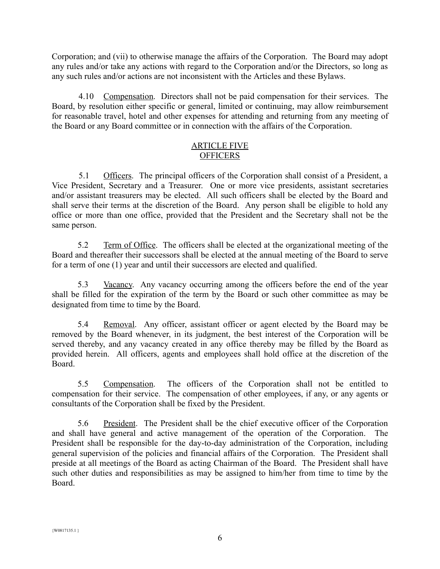Corporation; and (vii) to otherwise manage the affairs of the Corporation. The Board may adopt any rules and/or take any actions with regard to the Corporation and/or the Directors, so long as any such rules and/or actions are not inconsistent with the Articles and these Bylaws.

4.10 Compensation. Directors shall not be paid compensation for their services. The Board, by resolution either specific or general, limited or continuing, may allow reimbursement for reasonable travel, hotel and other expenses for attending and returning from any meeting of the Board or any Board committee or in connection with the affairs of the Corporation.

## ARTICLE FIVE **OFFICERS**

5.1 Officers. The principal officers of the Corporation shall consist of a President, a Vice President, Secretary and a Treasurer. One or more vice presidents, assistant secretaries and/or assistant treasurers may be elected. All such officers shall be elected by the Board and shall serve their terms at the discretion of the Board. Any person shall be eligible to hold any office or more than one office, provided that the President and the Secretary shall not be the same person.

5.2 Term of Office. The officers shall be elected at the organizational meeting of the Board and thereafter their successors shall be elected at the annual meeting of the Board to serve for a term of one (1) year and until their successors are elected and qualified.

5.3 Vacancy. Any vacancy occurring among the officers before the end of the year shall be filled for the expiration of the term by the Board or such other committee as may be designated from time to time by the Board.

5.4 Removal. Any officer, assistant officer or agent elected by the Board may be removed by the Board whenever, in its judgment, the best interest of the Corporation will be served thereby, and any vacancy created in any office thereby may be filled by the Board as provided herein. All officers, agents and employees shall hold office at the discretion of the Board.

5.5 Compensation. The officers of the Corporation shall not be entitled to compensation for their service. The compensation of other employees, if any, or any agents or consultants of the Corporation shall be fixed by the President.

5.6 President. The President shall be the chief executive officer of the Corporation and shall have general and active management of the operation of the Corporation. The President shall be responsible for the day-to-day administration of the Corporation, including general supervision of the policies and financial affairs of the Corporation. The President shall preside at all meetings of the Board as acting Chairman of the Board. The President shall have such other duties and responsibilities as may be assigned to him/her from time to time by the Board.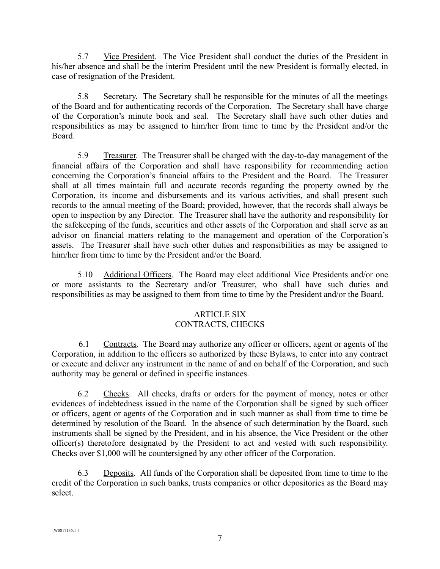5.7 Vice President. The Vice President shall conduct the duties of the President in his/her absence and shall be the interim President until the new President is formally elected, in case of resignation of the President.

5.8 Secretary. The Secretary shall be responsible for the minutes of all the meetings of the Board and for authenticating records of the Corporation. The Secretary shall have charge of the Corporation's minute book and seal. The Secretary shall have such other duties and responsibilities as may be assigned to him/her from time to time by the President and/or the Board.

5.9 Treasurer. The Treasurer shall be charged with the day-to-day management of the financial affairs of the Corporation and shall have responsibility for recommending action concerning the Corporation's financial affairs to the President and the Board. The Treasurer shall at all times maintain full and accurate records regarding the property owned by the Corporation, its income and disbursements and its various activities, and shall present such records to the annual meeting of the Board; provided, however, that the records shall always be open to inspection by any Director. The Treasurer shall have the authority and responsibility for the safekeeping of the funds, securities and other assets of the Corporation and shall serve as an advisor on financial matters relating to the management and operation of the Corporation's assets. The Treasurer shall have such other duties and responsibilities as may be assigned to him/her from time to time by the President and/or the Board.

5.10 Additional Officers. The Board may elect additional Vice Presidents and/or one or more assistants to the Secretary and/or Treasurer, who shall have such duties and responsibilities as may be assigned to them from time to time by the President and/or the Board.

## ARTICLE SIX CONTRACTS, CHECKS

6.1 Contracts. The Board may authorize any officer or officers, agent or agents of the Corporation, in addition to the officers so authorized by these Bylaws, to enter into any contract or execute and deliver any instrument in the name of and on behalf of the Corporation, and such authority may be general or defined in specific instances.

6.2 Checks. All checks, drafts or orders for the payment of money, notes or other evidences of indebtedness issued in the name of the Corporation shall be signed by such officer or officers, agent or agents of the Corporation and in such manner as shall from time to time be determined by resolution of the Board. In the absence of such determination by the Board, such instruments shall be signed by the President, and in his absence, the Vice President or the other officer(s) theretofore designated by the President to act and vested with such responsibility. Checks over \$1,000 will be countersigned by any other officer of the Corporation.

6.3 Deposits. All funds of the Corporation shall be deposited from time to time to the credit of the Corporation in such banks, trusts companies or other depositories as the Board may select.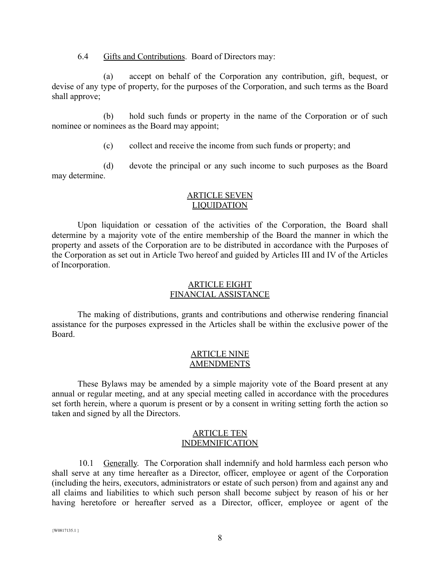6.4 Gifts and Contributions. Board of Directors may:

(a) accept on behalf of the Corporation any contribution, gift, bequest, or devise of any type of property, for the purposes of the Corporation, and such terms as the Board shall approve;

(b) hold such funds or property in the name of the Corporation or of such nominee or nominees as the Board may appoint;

(c) collect and receive the income from such funds or property; and

(d) devote the principal or any such income to such purposes as the Board may determine.

## ARTICLE SEVEN LIQUIDATION

Upon liquidation or cessation of the activities of the Corporation, the Board shall determine by a majority vote of the entire membership of the Board the manner in which the property and assets of the Corporation are to be distributed in accordance with the Purposes of the Corporation as set out in Article Two hereof and guided by Articles III and IV of the Articles of Incorporation.

### ARTICLE EIGHT FINANCIAL ASSISTANCE

The making of distributions, grants and contributions and otherwise rendering financial assistance for the purposes expressed in the Articles shall be within the exclusive power of the Board.

## ARTICLE NINE **AMENDMENTS**

These Bylaws may be amended by a simple majority vote of the Board present at any annual or regular meeting, and at any special meeting called in accordance with the procedures set forth herein, where a quorum is present or by a consent in writing setting forth the action so taken and signed by all the Directors.

#### ARTICLE TEN INDEMNIFICATION

10.1 Generally. The Corporation shall indemnify and hold harmless each person who shall serve at any time hereafter as a Director, officer, employee or agent of the Corporation (including the heirs, executors, administrators or estate of such person) from and against any and all claims and liabilities to which such person shall become subject by reason of his or her having heretofore or hereafter served as a Director, officer, employee or agent of the